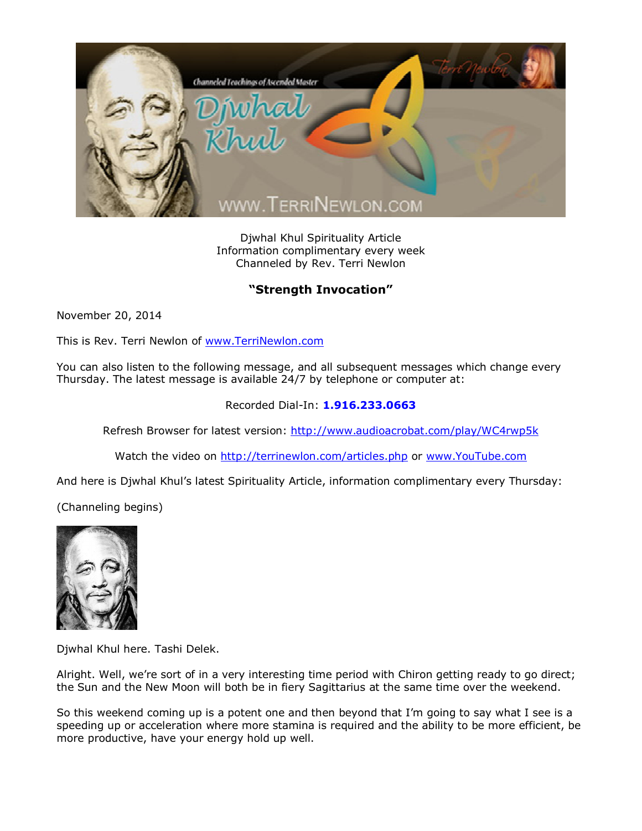

Djwhal Khul Spirituality Article Information complimentary every week Channeled by Rev. Terri Newlon

## **"Strength Invocation"**

November 20, 2014

This is Rev. Terri Newlon of [www.TerriNewlon.com](http://www.terrinewlon.com/)

You can also listen to the following message, and all subsequent messages which change every Thursday. The latest message is available 24/7 by telephone or computer at:

## Recorded Dial-In: **1.916.233.0663**

Refresh Browser for latest version: <http://www.audioacrobat.com/play/WC4rwp5k>

Watch the video on <http://terrinewlon.com/articles.php> or [www.YouTube.com](http://www.youtube.com/)

And here is Djwhal Khul's latest Spirituality Article, information complimentary every Thursday:

(Channeling begins)



Djwhal Khul here. Tashi Delek.

Alright. Well, we're sort of in a very interesting time period with Chiron getting ready to go direct; the Sun and the New Moon will both be in fiery Sagittarius at the same time over the weekend.

So this weekend coming up is a potent one and then beyond that I'm going to say what I see is a speeding up or acceleration where more stamina is required and the ability to be more efficient, be more productive, have your energy hold up well.